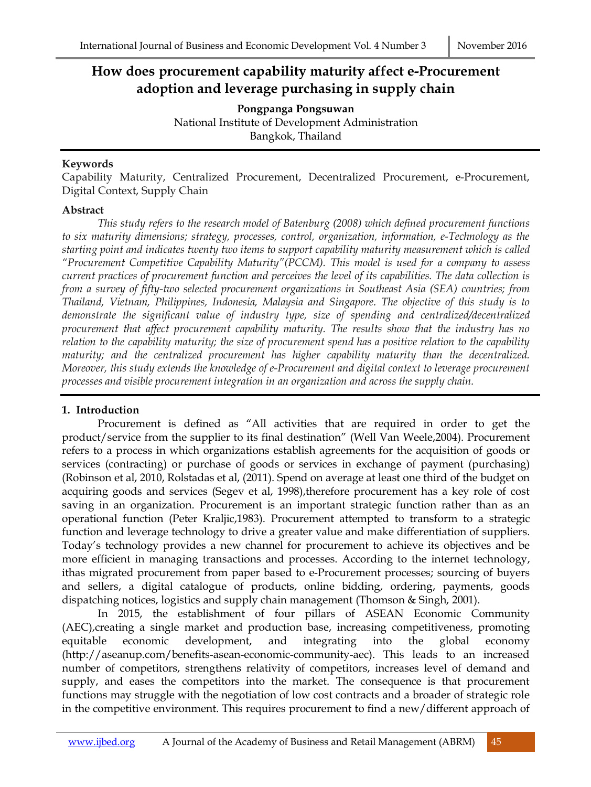# **How does procurement capability maturity affect e-Procurement adoption and leverage purchasing in supply chain**

**Pongpanga Pongsuwan** National Institute of Development Administration Bangkok, Thailand

# **Keywords**

Capability Maturity, Centralized Procurement, Decentralized Procurement, e-Procurement, Digital Context, Supply Chain

### **Abstract**

*This study refers to the research model of Batenburg (2008) which defined procurement functions to six maturity dimensions; strategy, processes, control, organization, information, e-Technology as the starting point and indicates twenty two items to support capability maturity measurement which is called "Procurement Competitive Capability Maturity"(PCCM). This model is used for a company to assess current practices of procurement function and perceives the level of its capabilities. The data collection is from a survey of fifty-two selected procurement organizations in Southeast Asia (SEA) countries; from Thailand, Vietnam, Philippines, Indonesia, Malaysia and Singapore. The objective of this study is to demonstrate the significant value of industry type, size of spending and centralized/decentralized procurement that affect procurement capability maturity. The results show that the industry has no relation to the capability maturity; the size of procurement spend has a positive relation to the capability maturity; and the centralized procurement has higher capability maturity than the decentralized. Moreover, this study extends the knowledge of e-Procurement and digital context to leverage procurement processes and visible procurement integration in an organization and across the supply chain.*

# **1. Introduction**

Procurement is defined as "All activities that are required in order to get the product/service from the supplier to its final destination" (Well Van Weele,2004). Procurement refers to a process in which organizations establish agreements for the acquisition of goods or services (contracting) or purchase of goods or services in exchange of payment (purchasing) (Robinson et al, 2010, Rolstadas et al, (2011). Spend on average at least one third of the budget on acquiring goods and services (Segev et al, 1998),therefore procurement has a key role of cost saving in an organization. Procurement is an important strategic function rather than as an operational function (Peter Kraljic,1983). Procurement attempted to transform to a strategic function and leverage technology to drive a greater value and make differentiation of suppliers. Today's technology provides a new channel for procurement to achieve its objectives and be more efficient in managing transactions and processes. According to the internet technology, ithas migrated procurement from paper based to e-Procurement processes; sourcing of buyers and sellers, a digital catalogue of products, online bidding, ordering, payments, goods dispatching notices, logistics and supply chain management (Thomson & Singh, 2001).

In 2015, the establishment of four pillars of ASEAN Economic Community (AEC),creating a single market and production base, increasing competitiveness, promoting equitable economic development, and integrating into the global economy (http://aseanup.com/benefits-asean-economic-community-aec). This leads to an increased number of competitors, strengthens relativity of competitors, increases level of demand and supply, and eases the competitors into the market. The consequence is that procurement functions may struggle with the negotiation of low cost contracts and a broader of strategic role in the competitive environment. This requires procurement to find a new/different approach of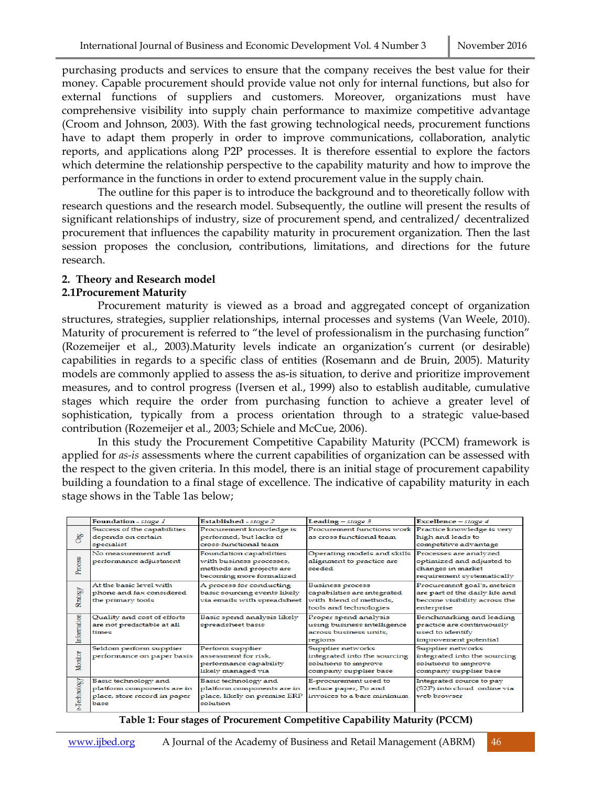purchasing products and services to ensure that the company receives the best value for their money. Capable procurement should provide value not only for internal functions, but also for external functions of suppliers and customers. Moreover, organizations must have comprehensive visibility into supply chain performance to maximize competitive advantage (Croom and Johnson, 2003). With the fast growing technological needs, procurement functions have to adapt them properly in order to improve communications, collaboration, analytic reports, and applications along P2P processes. It is therefore essential to explore the factors which determine the relationship perspective to the capability maturity and how to improve the performance in the functions in order to extend procurement value in the supply chain.

The outline for this paper is to introduce the background and to theoretically follow with research questions and the research model. Subsequently, the outline will present the results of significant relationships of industry, size of procurement spend, and centralized/ decentralized procurement that influences the capability maturity in procurement organization. Then the last session proposes the conclusion, contributions, limitations, and directions for the future research.

# **2. Theory and Research model**

### **2.1Procurement Maturity**

Procurement maturity is viewed as a broad and aggregated concept of organization structures, strategies, supplier relationships, internal processes and systems (Van Weele, 2010). Maturity of procurement is referred to "the level of professionalism in the purchasing function" (Rozemeijer et al., 2003).Maturity levels indicate an organization's current (or desirable) capabilities in regards to a specific class of entities (Rosemann and de Bruin, 2005). Maturity models are commonly applied to assess the as-is situation, to derive and prioritize improvement measures, and to control progress (Iversen et al., 1999) also to establish auditable, cumulative stages which require the order from purchasing function to achieve a greater level of sophistication, typically from a process orientation through to a strategic value-based contribution (Rozemeijer et al., 2003; Schiele and McCue, 2006).

In this study the Procurement Competitive Capability Maturity (PCCM) framework is applied for *as-is* assessments where the current capabilities of organization can be assessed with the respect to the given criteria. In this model, there is an initial stage of procurement capability building a foundation to a final stage of excellence. The indicative of capability maturity in each stage shows in the Table 1as below;

|                 | Foundation - stage 1         | Established - stage 2        | Leading $ - stage 3$                                  | Excellence - stage 4           |  |
|-----------------|------------------------------|------------------------------|-------------------------------------------------------|--------------------------------|--|
|                 | Success of the capabilities  | Procurement knowledge is     | Procurement functions work Practice knowledge is very |                                |  |
| Org.            | depends on certain           | performed, but lacks of      | as cross functional team                              | high and leads to              |  |
|                 | specialist                   | cross-functional team        |                                                       | competitive advantage          |  |
|                 | No measurement and           | Foundation capabilities      | Operating models and skills Processes are analyzed    |                                |  |
|                 | performance adjustment       | with business processes,     | alignment to practice are                             | optimized and adjusted to      |  |
| Process         |                              | methods and projects are     | seeded                                                | changes in market              |  |
|                 |                              | becoming more formalized     |                                                       | requirement systematically     |  |
|                 | At the basic level with      | A process for conducting     | <b>Business process</b>                               | Procurement goal's, metrics    |  |
|                 | phone and fax considered     | basic sourcing events likely | capabilities are integrated                           | are part of the daily life and |  |
| <b>Strategy</b> | the primary tools            | via emails with spreadsheet  | with blend of methods,                                | become visibility across the   |  |
|                 |                              |                              | tools and technologies                                | enterprise                     |  |
|                 | Quality and cost of efforts  | Basic spend analysis likely  | Proper spend analysis                                 | Benchmarking and leading       |  |
| Information     | are not predictable at all   | spreadsheet basis            | using business intelligence                           | practice are continuously      |  |
|                 | times                        |                              | across business units.                                | used to identify               |  |
|                 |                              |                              | regions                                               | improvement potential          |  |
|                 | Seldom perform supplier      | Perform supplier             | Supplier networks                                     | Supplier networks              |  |
| Monitor         | performance on paper basis   | assessment for risk.         | integrated into the sourcing                          | integrated into the sourcing   |  |
|                 |                              | performance capability       | solutions to improve                                  | solutions to improve           |  |
|                 |                              | likely managed via           | company supplier base                                 | company supplier base          |  |
| -Technology     | Basic technology and         | Basic technology and         | E-procurement used to                                 | Integrated source to pay       |  |
|                 | platform components are in   | platform components are in   | reduce paper, Po and                                  | (S2P) into cloud online via    |  |
|                 | place, store record in paper | place, likely on premise ERP | invoices to a bare minimum                            | web browser                    |  |
|                 | base                         | solution                     |                                                       |                                |  |
|                 |                              |                              |                                                       |                                |  |

#### **Table 1: Four stages of Procurement Competitive Capability Maturity (PCCM)**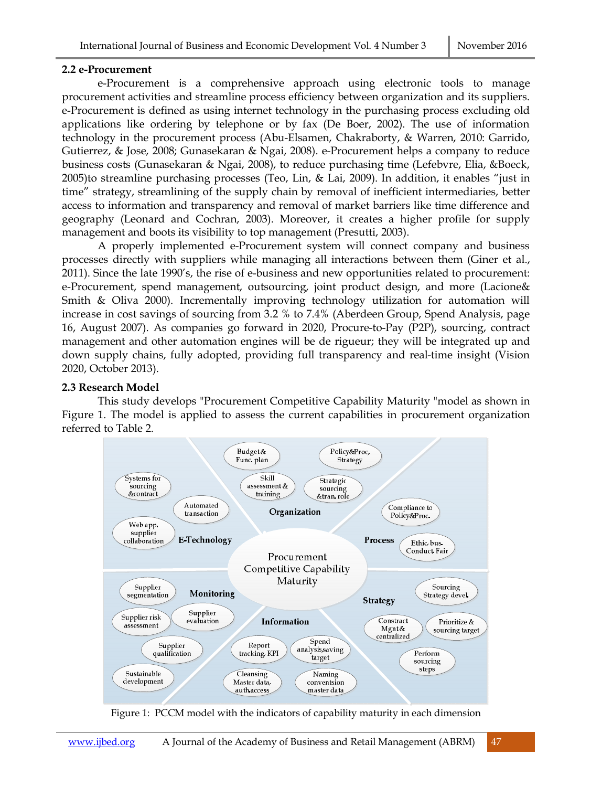#### **2.2 e-Procurement**

e-Procurement is a comprehensive approach using electronic tools to manage procurement activities and streamline process efficiency between organization and its suppliers. e-Procurement is defined as using internet technology in the purchasing process excluding old applications like ordering by telephone or by fax (De Boer, 2002). The use of information technology in the procurement process (Abu-Elsamen, Chakraborty, & Warren, 2010: Garrido, Gutierrez, & Jose, 2008; Gunasekaran & Ngai, 2008). e-Procurement helps a company to reduce business costs (Gunasekaran & Ngai, 2008), to reduce purchasing time (Lefebvre, Elia, &Boeck, 2005)to streamline purchasing processes (Teo, Lin, & Lai, 2009). In addition, it enables "just in time" strategy, streamlining of the supply chain by removal of inefficient intermediaries, better access to information and transparency and removal of market barriers like time difference and geography (Leonard and Cochran, 2003). Moreover, it creates a higher profile for supply management and boots its visibility to top management (Presutti, 2003).

A properly implemented e-Procurement system will connect company and business processes directly with suppliers while managing all interactions between them (Giner et al., 2011). Since the late 1990's, the rise of e-business and new opportunities related to procurement: e-Procurement, spend management, outsourcing, joint product design, and more (Lacione& Smith & Oliva 2000). Incrementally improving technology utilization for automation will increase in cost savings of sourcing from 3.2 % to 7.4% (Aberdeen Group, Spend Analysis, page 16, August 2007). As companies go forward in 2020, Procure-to-Pay (P2P), sourcing, contract management and other automation engines will be de rigueur; they will be integrated up and down supply chains, fully adopted, providing full transparency and real-time insight (Vision 2020, October 2013).

### **2.3 Research Model**

This study develops "Procurement Competitive Capability Maturity "model as shown in Figure 1. The model is applied to assess the current capabilities in procurement organization referred to Table 2.



Figure 1: PCCM model with the indicators of capability maturity in each dimension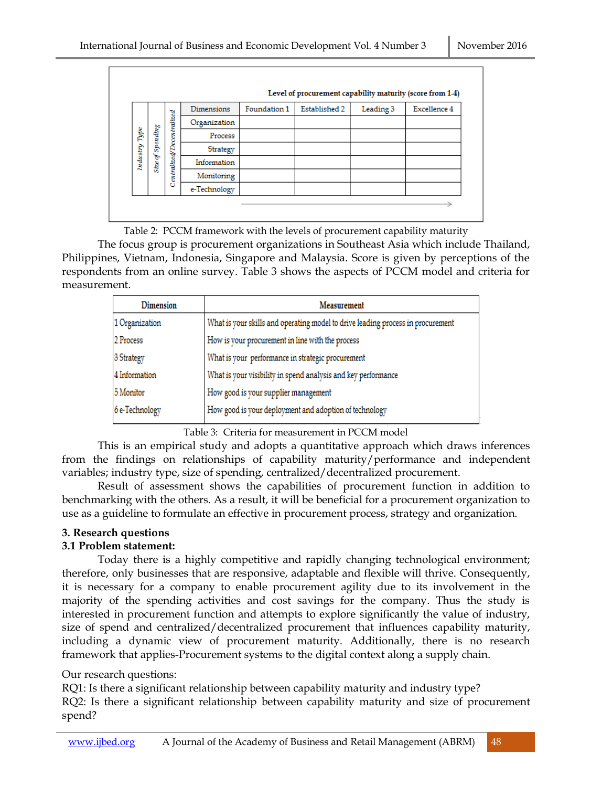|          |                        |                           | Dimensions   | Foundation 1 | Established 2 | Leading 3 | Excellence 4 |
|----------|------------------------|---------------------------|--------------|--------------|---------------|-----------|--------------|
|          |                        |                           | Organization |              |               |           |              |
| Type     | Spending               | Centralized/Decentralized | Process      |              |               |           |              |
|          |                        |                           | Strategy     |              |               |           |              |
| Industry | S<br>Size <sub>1</sub> |                           | Information  |              |               |           |              |
|          |                        |                           | Monitoring   |              |               |           |              |
|          |                        |                           | e-Technology |              |               |           |              |

Table 2: PCCM framework with the levels of procurement capability maturity

The focus group is procurement organizations in Southeast Asia which include Thailand, Philippines, Vietnam, Indonesia, Singapore and Malaysia. Score is given by perceptions of the respondents from an online survey. Table 3 shows the aspects of PCCM model and criteria for measurement.

| <b>Dimension</b> | Measurement                                                                     |
|------------------|---------------------------------------------------------------------------------|
| 1 Organization   | What is your skills and operating model to drive leading process in procurement |
| 2 Process        | How is your procurement in line with the process                                |
| 3 Strategy       | What is your performance in strategic procurement                               |
| 4 Information    | What is your visibility in spend analysis and key performance                   |
| 5 Monitor        | How good is your supplier management                                            |
| 6 e-Technology   | How good is your deployment and adoption of technology                          |

Table 3: Criteria for measurement in PCCM model

This is an empirical study and adopts a quantitative approach which draws inferences from the findings on relationships of capability maturity/performance and independent variables; industry type, size of spending, centralized/decentralized procurement.

Result of assessment shows the capabilities of procurement function in addition to benchmarking with the others. As a result, it will be beneficial for a procurement organization to use as a guideline to formulate an effective in procurement process, strategy and organization.

# **3. Research questions**

# **3.1 Problem statement:**

Today there is a highly competitive and rapidly changing technological environment; therefore, only businesses that are responsive, adaptable and flexible will thrive. Consequently, it is necessary for a company to enable procurement agility due to its involvement in the majority of the spending activities and cost savings for the company. Thus the study is interested in procurement function and attempts to explore significantly the value of industry, size of spend and centralized/decentralized procurement that influences capability maturity, including a dynamic view of procurement maturity. Additionally, there is no research framework that applies-Procurement systems to the digital context along a supply chain.

# Our research questions:

RQ1: Is there a significant relationship between capability maturity and industry type?

RQ2: Is there a significant relationship between capability maturity and size of procurement spend?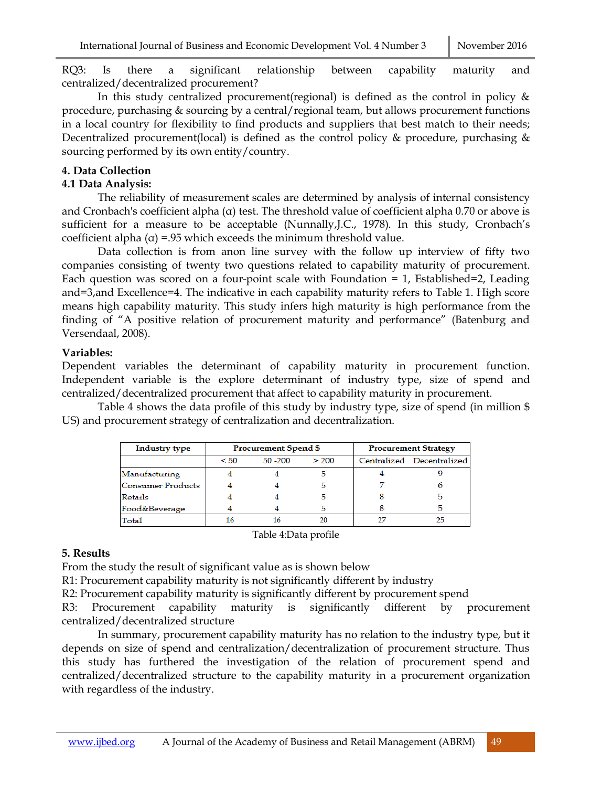RQ3: Is there a significant relationship between capability maturity and centralized/decentralized procurement?

In this study centralized procurement(regional) is defined as the control in policy  $\&$ procedure, purchasing & sourcing by a central/regional team, but allows procurement functions in a local country for flexibility to find products and suppliers that best match to their needs; Decentralized procurement(local) is defined as the control policy & procedure, purchasing & sourcing performed by its own entity/country.

# **4. Data Collection**

# **4.1 Data Analysis:**

The reliability of measurement scales are determined by analysis of internal consistency and Cronbach's coefficient alpha  $(\alpha)$  test. The threshold value of coefficient alpha 0.70 or above is sufficient for a measure to be acceptable (Nunnally,J.C., 1978). In this study, Cronbach's coefficient alpha (α) =.95 which exceeds the minimum threshold value.

Data collection is from anon line survey with the follow up interview of fifty two companies consisting of twenty two questions related to capability maturity of procurement. Each question was scored on a four-point scale with Foundation  $= 1$ , Established $= 2$ , Leading and=3,and Excellence=4. The indicative in each capability maturity refers to Table 1. High score means high capability maturity. This study infers high maturity is high performance from the finding of "A positive relation of procurement maturity and performance" (Batenburg and Versendaal, 2008).

# **Variables:**

Dependent variables the determinant of capability maturity in procurement function. Independent variable is the explore determinant of industry type, size of spend and centralized/decentralized procurement that affect to capability maturity in procurement.

Table 4 shows the data profile of this study by industry type, size of spend (in million \$ US) and procurement strategy of centralization and decentralization.

| <b>Industry type</b>     | <b>Procurement Spend \$</b> |          |       | <b>Procurement Strategy</b> |                           |
|--------------------------|-----------------------------|----------|-------|-----------------------------|---------------------------|
|                          | < 50                        | 50 - 200 | > 200 |                             | Centralized Decentralized |
| Manufacturing            |                             |          |       |                             |                           |
| <b>Consumer Products</b> |                             |          |       |                             |                           |
| Retails                  |                             |          |       |                             | 5                         |
| Food&Beverage            |                             |          |       |                             | Б                         |
| Total                    | 16                          | 16       |       |                             | 25                        |

Table 4:Data profile

# **5. Results**

From the study the result of significant value as is shown below

R1: Procurement capability maturity is not significantly different by industry

R2: Procurement capability maturity is significantly different by procurement spend

R3: Procurement capability maturity is significantly different by procurement centralized/decentralized structure

In summary, procurement capability maturity has no relation to the industry type, but it depends on size of spend and centralization/decentralization of procurement structure. Thus this study has furthered the investigation of the relation of procurement spend and centralized/decentralized structure to the capability maturity in a procurement organization with regardless of the industry.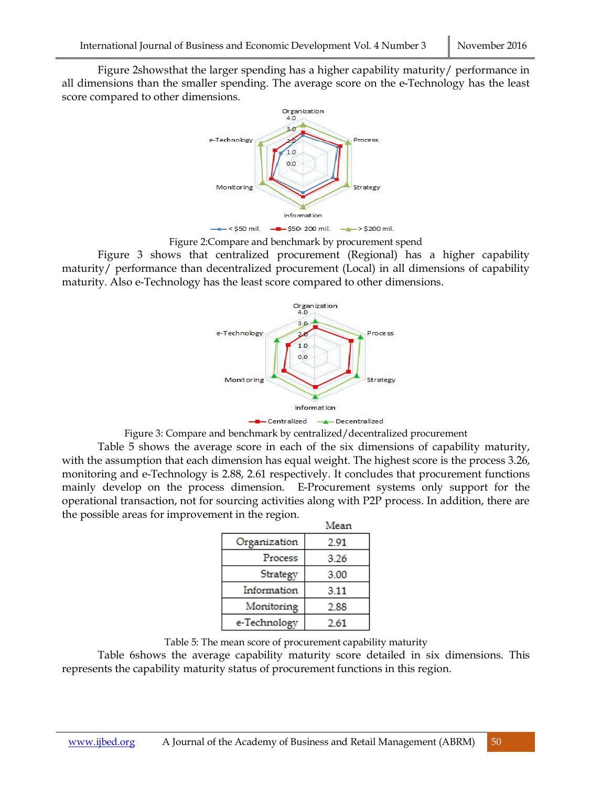Figure 2showsthat the larger spending has a higher capability maturity/ performance in all dimensions than the smaller spending. The average score on the e-Technology has the least score compared to other dimensions.



Figure 2:Compare and benchmark by procurement spend

Figure 3 shows that centralized procurement (Regional) has a higher capability maturity/ performance than decentralized procurement (Local) in all dimensions of capability maturity. Also e-Technology has the least score compared to other dimensions.





Table 5 shows the average score in each of the six dimensions of capability maturity, with the assumption that each dimension has equal weight. The highest score is the process 3.26, monitoring and e-Technology is 2.88, 2.61 respectively. It concludes that procurement functions mainly develop on the process dimension. E-Procurement systems only support for the operational transaction, not for sourcing activities along with P2P process. In addition, there are the possible areas for improvement in the region.

|              | Mean |
|--------------|------|
| Organization | 2.91 |
| Process      | 3.26 |
| Strategy     | 3.00 |
| Information  | 3.11 |
| Monitoring   | 2.88 |
| e-Technology | 2.61 |

Table 5: The mean score of procurement capability maturity

Table 6shows the average capability maturity score detailed in six dimensions. This represents the capability maturity status of procurement functions in this region.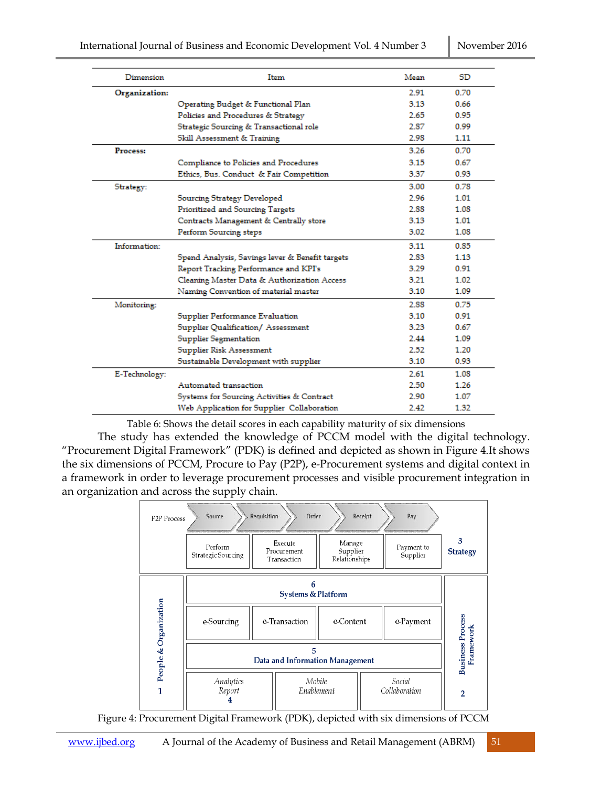| Dimension     | Item                                            | Mean | SD   |
|---------------|-------------------------------------------------|------|------|
| Organization: |                                                 | 2.91 | 0.70 |
|               | Operating Budget & Functional Plan              | 3.13 | 0.66 |
|               | Policies and Procedures & Strategy              | 2.65 | 0.95 |
|               | Strategic Sourcing & Transactional role         | 2.87 | 0.99 |
|               | Skill Assessment & Training                     | 2.98 | 1.11 |
| Process:      |                                                 | 3.26 | 0.70 |
|               | Compliance to Policies and Procedures           | 3.15 | 0.67 |
|               | Ethics, Bus. Conduct & Fair Competition         | 3.37 | 0.93 |
| Strategy:     |                                                 | 3.00 | 0.78 |
|               | Sourcing Strategy Developed                     | 2.96 | 1.01 |
|               | Prioritized and Sourcing Targets                | 2.88 | 1.08 |
|               | Contracts Management & Centrally store          | 3.13 | 1.01 |
|               | Perform Sourcing steps                          | 3.02 | 1.08 |
| Information:  |                                                 | 3.11 | 0.85 |
|               | Spend Analysis, Savings lever & Benefit targets | 2.83 | 1.13 |
|               | Report Tracking Performance and KPI's           | 3.29 | 0.91 |
|               | Cleaning Master Data & Authorization Access     | 3.21 | 1.02 |
|               | Naming Convention of material master            | 3.10 | 1.09 |
| Monitoring:   |                                                 | 2.88 | 0.75 |
|               | Supplier Performance Evaluation                 | 3.10 | 0.91 |
|               | Supplier Qualification/ Assessment              | 3.23 | 0.67 |
|               | Supplier Segmentation                           | 2.44 | 1.09 |
|               | Supplier Risk Assessment                        | 2.52 | 1.20 |
|               | Sustainable Development with supplier           | 3.10 | 0.93 |
| E-Technology: |                                                 | 2.61 | 1.08 |
|               | Automated transaction                           | 2.50 | 1.26 |
|               | Systems for Sourcing Activities & Contract      | 2.90 | 1.07 |
|               | Web Application for Supplier Collaboration      | 2.42 | 1.32 |

Table 6: Shows the detail scores in each capability maturity of six dimensions

The study has extended the knowledge of PCCM model with the digital technology. "Procurement Digital Framework" (PDK) is defined and depicted as shown in Figure 4.It shows the six dimensions of PCCM, Procure to Pay (P2P), e-Procurement systems and digital context in a framework in order to leverage procurement processes and visible procurement integration in an organization and across the supply chain.



Figure 4: Procurement Digital Framework (PDK), depicted with six dimensions of PCCM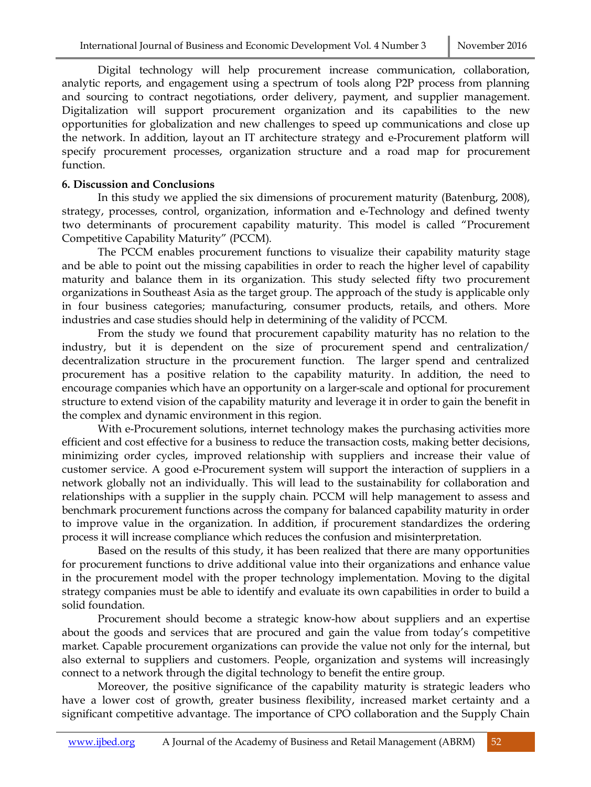Digital technology will help procurement increase communication, collaboration, analytic reports, and engagement using a spectrum of tools along P2P process from planning and sourcing to contract negotiations, order delivery, payment, and supplier management. Digitalization will support procurement organization and its capabilities to the new opportunities for globalization and new challenges to speed up communications and close up the network. In addition, layout an IT architecture strategy and e-Procurement platform will specify procurement processes, organization structure and a road map for procurement function.

# **6. Discussion and Conclusions**

In this study we applied the six dimensions of procurement maturity (Batenburg, 2008), strategy, processes, control, organization, information and e-Technology and defined twenty two determinants of procurement capability maturity. This model is called "Procurement Competitive Capability Maturity" (PCCM).

The PCCM enables procurement functions to visualize their capability maturity stage and be able to point out the missing capabilities in order to reach the higher level of capability maturity and balance them in its organization. This study selected fifty two procurement organizations in Southeast Asia as the target group. The approach of the study is applicable only in four business categories; manufacturing, consumer products, retails, and others. More industries and case studies should help in determining of the validity of PCCM.

From the study we found that procurement capability maturity has no relation to the industry, but it is dependent on the size of procurement spend and centralization/ decentralization structure in the procurement function. The larger spend and centralized procurement has a positive relation to the capability maturity. In addition, the need to encourage companies which have an opportunity on a larger-scale and optional for procurement structure to extend vision of the capability maturity and leverage it in order to gain the benefit in the complex and dynamic environment in this region.

With e-Procurement solutions, internet technology makes the purchasing activities more efficient and cost effective for a business to reduce the transaction costs, making better decisions, minimizing order cycles, improved relationship with suppliers and increase their value of customer service. A good e-Procurement system will support the interaction of suppliers in a network globally not an individually. This will lead to the sustainability for collaboration and relationships with a supplier in the supply chain. PCCM will help management to assess and benchmark procurement functions across the company for balanced capability maturity in order to improve value in the organization. In addition, if procurement standardizes the ordering process it will increase compliance which reduces the confusion and misinterpretation.

Based on the results of this study, it has been realized that there are many opportunities for procurement functions to drive additional value into their organizations and enhance value in the procurement model with the proper technology implementation. Moving to the digital strategy companies must be able to identify and evaluate its own capabilities in order to build a solid foundation.

Procurement should become a strategic know-how about suppliers and an expertise about the goods and services that are procured and gain the value from today's competitive market. Capable procurement organizations can provide the value not only for the internal, but also external to suppliers and customers. People, organization and systems will increasingly connect to a network through the digital technology to benefit the entire group.

Moreover, the positive significance of the capability maturity is strategic leaders who have a lower cost of growth, greater business flexibility, increased market certainty and a significant competitive advantage. The importance of CPO collaboration and the Supply Chain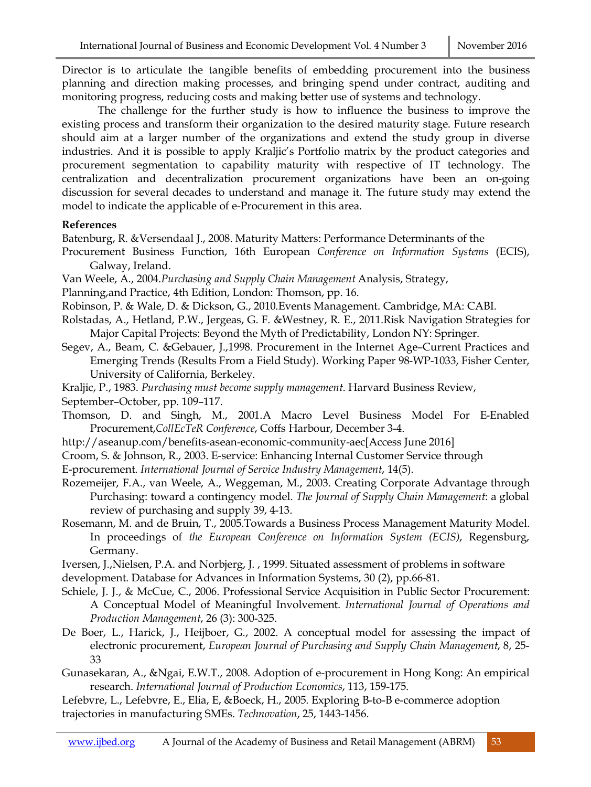Director is to articulate the tangible benefits of embedding procurement into the business planning and direction making processes, and bringing spend under contract, auditing and monitoring progress, reducing costs and making better use of systems and technology.

The challenge for the further study is how to influence the business to improve the existing process and transform their organization to the desired maturity stage. Future research should aim at a larger number of the organizations and extend the study group in diverse industries. And it is possible to apply Kraljic's Portfolio matrix by the product categories and procurement segmentation to capability maturity with respective of IT technology. The centralization and decentralization procurement organizations have been an on-going discussion for several decades to understand and manage it. The future study may extend the model to indicate the applicable of e-Procurement in this area.

### **References**

Batenburg, R. &Versendaal J., 2008. Maturity Matters: Performance Determinants of the

- Procurement Business Function, 16th European *Conference on Information Systems* (ECIS), Galway, Ireland.
- Van Weele, A., 2004.*Purchasing and Supply Chain Management* Analysis, Strategy,
- Planning,and Practice, 4th Edition, London: Thomson, pp. 16.
- Robinson, P. & Wale, D. & Dickson, G., 2010.Events Management. Cambridge, MA: CABI.
- Rolstadas, A., Hetland, P.W., Jergeas, G. F. &Westney, R. E., 2011.Risk Navigation Strategies for Major Capital Projects: Beyond the Myth of Predictability, London NY: Springer.
- Segev, A., Beam, C. &Gebauer, J.,1998. Procurement in the Internet Age–Current Practices and Emerging Trends (Results From a Field Study). Working Paper 98-WP-1033, Fisher Center, University of California, Berkeley.
- Kraljic, P., 1983. *Purchasing must become supply management*. Harvard Business Review, September–October, pp. 109–117.
- Thomson, D. and Singh, M., 2001.A Macro Level Business Model For E-Enabled Procurement,*CollEcTeR Conference*, Coffs Harbour, December 3-4.
- http://aseanup.com/benefits-asean-economic-community-aec[Access June 2016]
- Croom, S. & Johnson, R., 2003. E-service: Enhancing Internal Customer Service through
- E-procurement. *International Journal of Service Industry Management*, 14(5).
- Rozemeijer, F.A., van Weele, A., Weggeman, M., 2003. Creating Corporate Advantage through Purchasing: toward a contingency model. *The Journal of Supply Chain Management*: a global review of purchasing and supply 39, 4-13.
- Rosemann, M. and de Bruin, T., 2005.Towards a Business Process Management Maturity Model. In proceedings of *the European Conference on Information System (ECIS)*, Regensburg, Germany.
- Iversen, J.,Nielsen, P.A. and Norbjerg, J. , 1999. Situated assessment of problems in software development. Database for Advances in Information Systems, 30 (2), pp.66-81.
- Schiele, J. J., & McCue, C., 2006. Professional Service Acquisition in Public Sector Procurement: A Conceptual Model of Meaningful Involvement. *International Journal of Operations and Production Management*, 26 (3): 300-325.
- De Boer, L., Harick, J., Heijboer, G., 2002. A conceptual model for assessing the impact of electronic procurement, *European Journal of Purchasing and Supply Chain Management*, 8, 25- 33
- Gunasekaran, A., &Ngai, E.W.T., 2008. Adoption of e-procurement in Hong Kong: An empirical research. *International Journal of Production Economics*, 113, 159-175.

Lefebvre, L., Lefebvre, E., Elia, E, &Boeck, H., 2005. Exploring B-to-B e-commerce adoption trajectories in manufacturing SMEs. *Technovation*, 25, 1443-1456.